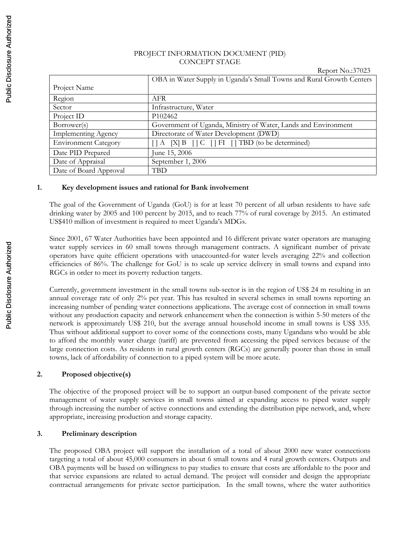### PROJECT INFORMATION DOCUMENT (PID) CONCEPT STAGE

|                             | Report No.:37023                                                                                                                                                                                                                                                                  |
|-----------------------------|-----------------------------------------------------------------------------------------------------------------------------------------------------------------------------------------------------------------------------------------------------------------------------------|
|                             | OBA in Water Supply in Uganda's Small Towns and Rural Growth Centers                                                                                                                                                                                                              |
| Project Name                |                                                                                                                                                                                                                                                                                   |
| Region                      | <b>AFR</b>                                                                                                                                                                                                                                                                        |
| Sector                      | Infrastructure, Water                                                                                                                                                                                                                                                             |
| Project ID                  | P102462                                                                                                                                                                                                                                                                           |
| Borrower(s)                 | Government of Uganda, Ministry of Water, Lands and Environment                                                                                                                                                                                                                    |
| <b>Implementing Agency</b>  | Directorate of Water Development (DWD)                                                                                                                                                                                                                                            |
| <b>Environment Category</b> | $[$   A $[$   $]$ $[$ $]$ $[$ $]$ $[$ $]$ $[$ $]$ $[$ $]$ $[$ $]$ $[$ $]$ $[$ $]$ $[$ $]$ $[$ $]$ $[$ $]$ $[$ $]$ $[$ $]$ $[$ $]$ $[$ $]$ $[$ $]$ $[$ $]$ $[$ $]$ $[$ $]$ $[$ $]$ $[$ $]$ $[$ $]$ $[$ $]$ $[$ $]$ $[$ $]$ $[$ $]$ $[$ $]$ $[$ $]$ $[$ $]$ $[$ $]$ $[$ $]$ $[$ $]$ |
| Date PID Prepared           | June 15, 2006                                                                                                                                                                                                                                                                     |
| Date of Appraisal           | September 1, 2006                                                                                                                                                                                                                                                                 |
| Date of Board Approval      | TBD                                                                                                                                                                                                                                                                               |

#### **1. Key development issues and rational for Bank involvement**

The goal of the Government of Uganda (GoU) is for at least 70 percent of all urban residents to have safe drinking water by 2005 and 100 percent by 2015, and to reach 77% of rural coverage by 2015. An estimated US\$410 million of investment is required to meet Uganda's MDGs.

Since 2001, 67 Water Authorities have been appointed and 16 different private water operators are managing water supply services in 60 small towns through management contracts. A significant number of private operators have quite efficient operations with unaccounted-for water levels averaging 22% and collection efficiencies of 86%. The challenge for GoU is to scale up service delivery in small towns and expand into RGCs in order to meet its poverty reduction targets.

Currently, government investment in the small towns sub-sector is in the region of US\$ 24 m resulting in an annual coverage rate of only 2% per year. This has resulted in several schemes in small towns reporting an increasing number of pending water connections applications. The average cost of connection in small towns without any production capacity and network enhancement when the connection is within 5-50 meters of the network is approximately US\$ 210, but the average annual household income in small towns is US\$ 335. Thus without additional support to cover some of the connections costs, many Ugandans who would be able to afford the monthly water charge (tariff) are prevented from accessing the piped services because of the large connection costs. As residents in rural growth centers (RGCs) are generally poorer than those in small towns, lack of affordability of connection to a piped system will be more acute.

## **2. Proposed objective(s)**

The objective of the proposed project will be to support an output-based component of the private sector management of water supply services in small towns aimed at expanding access to piped water supply through increasing the number of active connections and extending the distribution pipe network, and, where appropriate, increasing production and storage capacity.

# **3. Preliminary description**

The proposed OBA project will support the installation of a total of about 2000 new water connections targeting a total of about 45,000 consumers in about 6 small towns and 4 rural growth centers. Outputs and OBA payments will be based on willingness to pay studies to ensure that costs are affordable to the poor and that service expansions are related to actual demand. The project will consider and design the appropriate contractual arrangements for private sector participation. In the small towns, where the water authorities